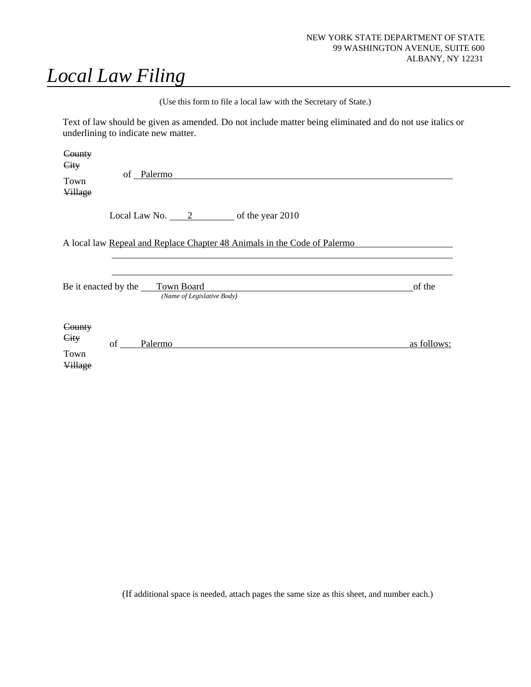# *Local Law Filing*

of Palermo

(Use this form to file a local law with the Secretary of State.)

Text of law should be given as amended. Do not include matter being eliminated and do not use italics or underlining to indicate new matter.

<u> 1989 - Johann Barbara, martxa amerikan personal (h. 1989).</u>

**County** 

**City** 

Town Village

Local Law No.  $\frac{2}{2}$  of the year 2010

A local law Repeal and Replace Chapter 48 Animals in the Code of Palermo

Be it enacted by the Town Board of the Town Board of the Contract of the Contract of the Contract of the Contract of the Contract of the Contract of the Contract of the Contract of the Contract of the Contract of the Contr *(Name of Legislative Body)* of Palermo as follows: **County City** Town Village

(If additional space is needed, attach pages the same size as this sheet, and number each.)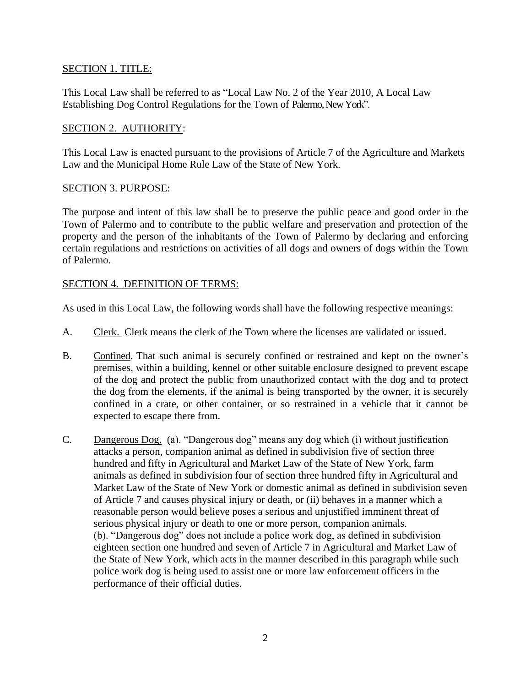## SECTION 1. TITLE:

This Local Law shall be referred to as "Local Law No. 2 of the Year 2010, A Local Law Establishing Dog Control Regulations for the Town of Palermo, New York".

## SECTION 2. AUTHORITY:

This Local Law is enacted pursuant to the provisions of Article 7 of the Agriculture and Markets Law and the Municipal Home Rule Law of the State of New York.

## SECTION 3. PURPOSE:

The purpose and intent of this law shall be to preserve the public peace and good order in the Town of Palermo and to contribute to the public welfare and preservation and protection of the property and the person of the inhabitants of the Town of Palermo by declaring and enforcing certain regulations and restrictions on activities of all dogs and owners of dogs within the Town of Palermo.

#### SECTION 4. DEFINITION OF TERMS:

As used in this Local Law, the following words shall have the following respective meanings:

- A. Clerk. Clerk means the clerk of the Town where the licenses are validated or issued.
- B. Confined. That such animal is securely confined or restrained and kept on the owner's premises, within a building, kennel or other suitable enclosure designed to prevent escape of the dog and protect the public from unauthorized contact with the dog and to protect the dog from the elements, if the animal is being transported by the owner, it is securely confined in a crate, or other container, or so restrained in a vehicle that it cannot be expected to escape there from.
- C. Dangerous Dog. (a). "Dangerous dog" means any dog which (i) without justification attacks a person, companion animal as defined in subdivision five of section three hundred and fifty in Agricultural and Market Law of the State of New York, farm animals as defined in subdivision four of section three hundred fifty in Agricultural and Market Law of the State of New York or domestic animal as defined in subdivision seven of Article 7 and causes physical injury or death, or (ii) behaves in a manner which a reasonable person would believe poses a serious and unjustified imminent threat of serious physical injury or death to one or more person, companion animals. (b). "Dangerous dog" does not include a police work dog, as defined in subdivision eighteen section one hundred and seven of Article 7 in Agricultural and Market Law of the State of New York, which acts in the manner described in this paragraph while such police work dog is being used to assist one or more law enforcement officers in the performance of their official duties.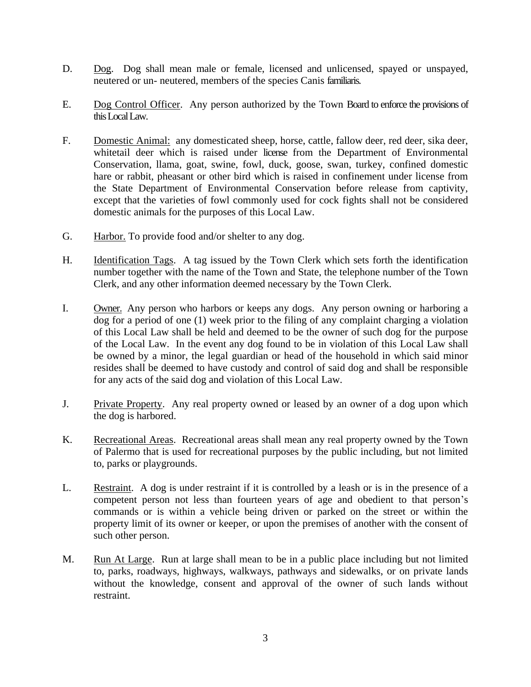- D. Dog. Dog shall mean male or female, licensed and unlicensed, spayed or unspayed, neutered or un- neutered, members of the species Canis familiaris.
- E. Dog Control Officer. Any person authorized by the Town Board to enforce the provisions of this Local Law.
- F. Domestic Animal: any domesticated sheep, horse, cattle, fallow deer, red deer, sika deer, whitetail deer which is raised under license from the Department of Environmental Conservation, llama, goat, swine, fowl, duck, goose, swan, turkey, confined domestic hare or rabbit, pheasant or other bird which is raised in confinement under license from the State Department of Environmental Conservation before release from captivity, except that the varieties of fowl commonly used for cock fights shall not be considered domestic animals for the purposes of this Local Law.
- G. Harbor. To provide food and/or shelter to any dog.
- H. Identification Tags. A tag issued by the Town Clerk which sets forth the identification number together with the name of the Town and State, the telephone number of the Town Clerk, and any other information deemed necessary by the Town Clerk.
- I. Owner. Any person who harbors or keeps any dogs. Any person owning or harboring a dog for a period of one (1) week prior to the filing of any complaint charging a violation of this Local Law shall be held and deemed to be the owner of such dog for the purpose of the Local Law. In the event any dog found to be in violation of this Local Law shall be owned by a minor, the legal guardian or head of the household in which said minor resides shall be deemed to have custody and control of said dog and shall be responsible for any acts of the said dog and violation of this Local Law.
- J. Private Property. Any real property owned or leased by an owner of a dog upon which the dog is harbored.
- K. Recreational Areas. Recreational areas shall mean any real property owned by the Town of Palermo that is used for recreational purposes by the public including, but not limited to, parks or playgrounds.
- L. Restraint. A dog is under restraint if it is controlled by a leash or is in the presence of a competent person not less than fourteen years of age and obedient to that person's commands or is within a vehicle being driven or parked on the street or within the property limit of its owner or keeper, or upon the premises of another with the consent of such other person.
- M. Run At Large. Run at large shall mean to be in a public place including but not limited to, parks, roadways, highways, walkways, pathways and sidewalks, or on private lands without the knowledge, consent and approval of the owner of such lands without restraint.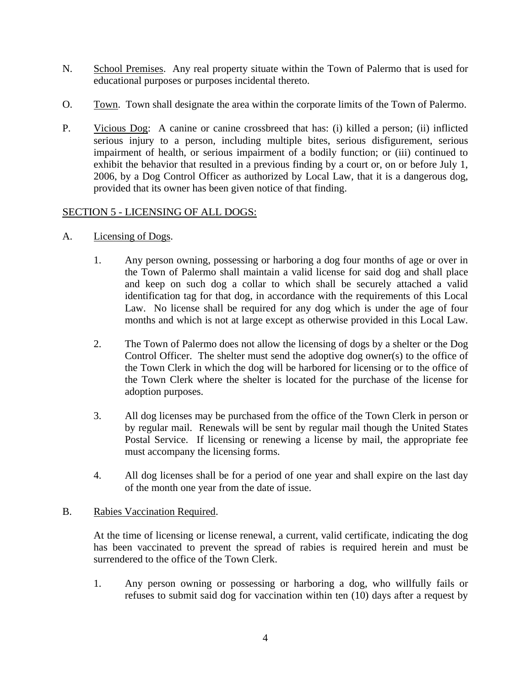- N. School Premises. Any real property situate within the Town of Palermo that is used for educational purposes or purposes incidental thereto.
- O. Town. Town shall designate the area within the corporate limits of the Town of Palermo.
- P. Vicious Dog: A canine or canine crossbreed that has: (i) killed a person; (ii) inflicted serious injury to a person, including multiple bites, serious disfigurement, serious impairment of health, or serious impairment of a bodily function; or (iii) continued to exhibit the behavior that resulted in a previous finding by a court or, on or before July 1, 2006, by a Dog Control Officer as authorized by Local Law, that it is a dangerous dog, provided that its owner has been given notice of that finding.

## SECTION 5 - LICENSING OF ALL DOGS:

- A. Licensing of Dogs.
	- 1. Any person owning, possessing or harboring a dog four months of age or over in the Town of Palermo shall maintain a valid license for said dog and shall place and keep on such dog a collar to which shall be securely attached a valid identification tag for that dog, in accordance with the requirements of this Local Law. No license shall be required for any dog which is under the age of four months and which is not at large except as otherwise provided in this Local Law.
	- 2. The Town of Palermo does not allow the licensing of dogs by a shelter or the Dog Control Officer. The shelter must send the adoptive dog owner(s) to the office of the Town Clerk in which the dog will be harbored for licensing or to the office of the Town Clerk where the shelter is located for the purchase of the license for adoption purposes.
	- 3. All dog licenses may be purchased from the office of the Town Clerk in person or by regular mail. Renewals will be sent by regular mail though the United States Postal Service. If licensing or renewing a license by mail, the appropriate fee must accompany the licensing forms.
	- 4. All dog licenses shall be for a period of one year and shall expire on the last day of the month one year from the date of issue.

#### B. Rabies Vaccination Required.

At the time of licensing or license renewal, a current, valid certificate, indicating the dog has been vaccinated to prevent the spread of rabies is required herein and must be surrendered to the office of the Town Clerk.

1. Any person owning or possessing or harboring a dog, who willfully fails or refuses to submit said dog for vaccination within ten (10) days after a request by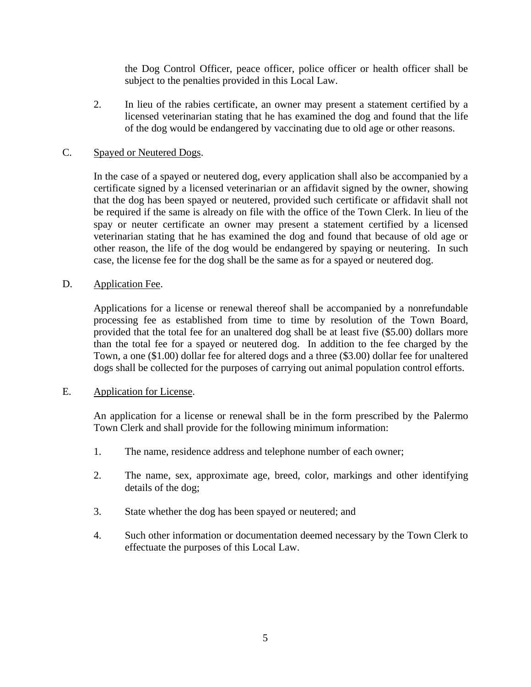the Dog Control Officer, peace officer, police officer or health officer shall be subject to the penalties provided in this Local Law.

2. In lieu of the rabies certificate, an owner may present a statement certified by a licensed veterinarian stating that he has examined the dog and found that the life of the dog would be endangered by vaccinating due to old age or other reasons.

#### C. Spayed or Neutered Dogs.

In the case of a spayed or neutered dog, every application shall also be accompanied by a certificate signed by a licensed veterinarian or an affidavit signed by the owner, showing that the dog has been spayed or neutered, provided such certificate or affidavit shall not be required if the same is already on file with the office of the Town Clerk. In lieu of the spay or neuter certificate an owner may present a statement certified by a licensed veterinarian stating that he has examined the dog and found that because of old age or other reason, the life of the dog would be endangered by spaying or neutering. In such case, the license fee for the dog shall be the same as for a spayed or neutered dog.

#### D. Application Fee.

Applications for a license or renewal thereof shall be accompanied by a nonrefundable processing fee as established from time to time by resolution of the Town Board, provided that the total fee for an unaltered dog shall be at least five (\$5.00) dollars more than the total fee for a spayed or neutered dog. In addition to the fee charged by the Town, a one (\$1.00) dollar fee for altered dogs and a three (\$3.00) dollar fee for unaltered dogs shall be collected for the purposes of carrying out animal population control efforts.

#### E. Application for License.

An application for a license or renewal shall be in the form prescribed by the Palermo Town Clerk and shall provide for the following minimum information:

- 1. The name, residence address and telephone number of each owner;
- 2. The name, sex, approximate age, breed, color, markings and other identifying details of the dog;
- 3. State whether the dog has been spayed or neutered; and
- 4. Such other information or documentation deemed necessary by the Town Clerk to effectuate the purposes of this Local Law.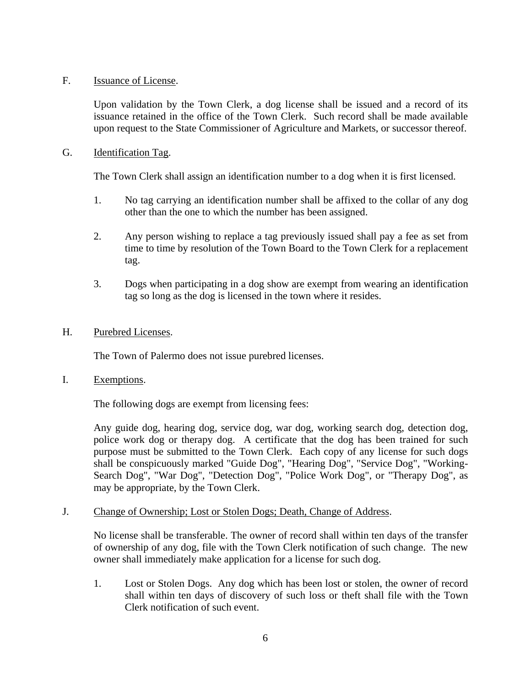## F. Issuance of License.

Upon validation by the Town Clerk, a dog license shall be issued and a record of its issuance retained in the office of the Town Clerk. Such record shall be made available upon request to the State Commissioner of Agriculture and Markets, or successor thereof.

## G. Identification Tag.

The Town Clerk shall assign an identification number to a dog when it is first licensed.

- 1. No tag carrying an identification number shall be affixed to the collar of any dog other than the one to which the number has been assigned.
- 2. Any person wishing to replace a tag previously issued shall pay a fee as set from time to time by resolution of the Town Board to the Town Clerk for a replacement tag.
- 3. Dogs when participating in a dog show are exempt from wearing an identification tag so long as the dog is licensed in the town where it resides.

## H. Purebred Licenses.

The Town of Palermo does not issue purebred licenses.

#### I. Exemptions.

The following dogs are exempt from licensing fees:

Any guide dog, hearing dog, service dog, war dog, working search dog, detection dog, police work dog or therapy dog. A certificate that the dog has been trained for such purpose must be submitted to the Town Clerk. Each copy of any license for such dogs shall be conspicuously marked "Guide Dog", "Hearing Dog", "Service Dog", "Working-Search Dog", "War Dog", "Detection Dog", "Police Work Dog", or "Therapy Dog", as may be appropriate, by the Town Clerk.

#### J. Change of Ownership; Lost or Stolen Dogs; Death, Change of Address.

No license shall be transferable. The owner of record shall within ten days of the transfer of ownership of any dog, file with the Town Clerk notification of such change. The new owner shall immediately make application for a license for such dog.

1. Lost or Stolen Dogs. Any dog which has been lost or stolen, the owner of record shall within ten days of discovery of such loss or theft shall file with the Town Clerk notification of such event.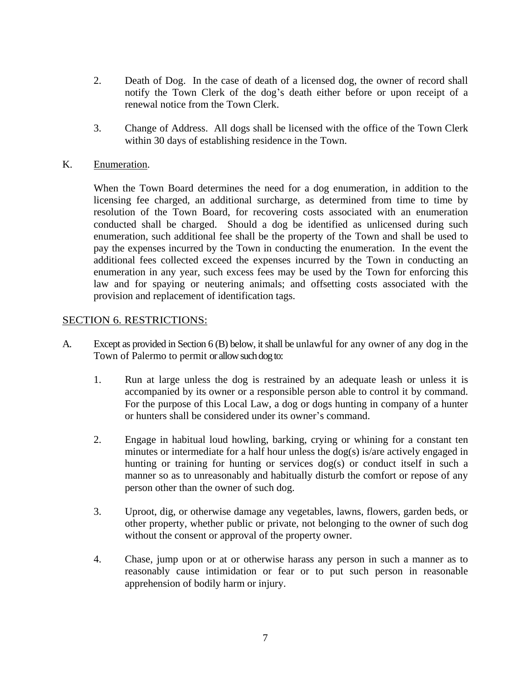- 2. Death of Dog. In the case of death of a licensed dog, the owner of record shall notify the Town Clerk of the dog's death either before or upon receipt of a renewal notice from the Town Clerk.
- 3. Change of Address. All dogs shall be licensed with the office of the Town Clerk within 30 days of establishing residence in the Town.

## K. Enumeration.

When the Town Board determines the need for a dog enumeration, in addition to the licensing fee charged, an additional surcharge, as determined from time to time by resolution of the Town Board, for recovering costs associated with an enumeration conducted shall be charged. Should a dog be identified as unlicensed during such enumeration, such additional fee shall be the property of the Town and shall be used to pay the expenses incurred by the Town in conducting the enumeration. In the event the additional fees collected exceed the expenses incurred by the Town in conducting an enumeration in any year, such excess fees may be used by the Town for enforcing this law and for spaying or neutering animals; and offsetting costs associated with the provision and replacement of identification tags.

## SECTION 6. RESTRICTIONS:

- A. Except as provided in Section 6 (B) below, it shall be unlawful for any owner of any dog in the Town of Palermo to permit or allow such dog to:
	- 1. Run at large unless the dog is restrained by an adequate leash or unless it is accompanied by its owner or a responsible person able to control it by command. For the purpose of this Local Law, a dog or dogs hunting in company of a hunter or hunters shall be considered under its owner's command.
	- 2. Engage in habitual loud howling, barking, crying or whining for a constant ten minutes or intermediate for a half hour unless the dog(s) is/are actively engaged in hunting or training for hunting or services dog(s) or conduct itself in such a manner so as to unreasonably and habitually disturb the comfort or repose of any person other than the owner of such dog.
	- 3. Uproot, dig, or otherwise damage any vegetables, lawns, flowers, garden beds, or other property, whether public or private, not belonging to the owner of such dog without the consent or approval of the property owner.
	- 4. Chase, jump upon or at or otherwise harass any person in such a manner as to reasonably cause intimidation or fear or to put such person in reasonable apprehension of bodily harm or injury.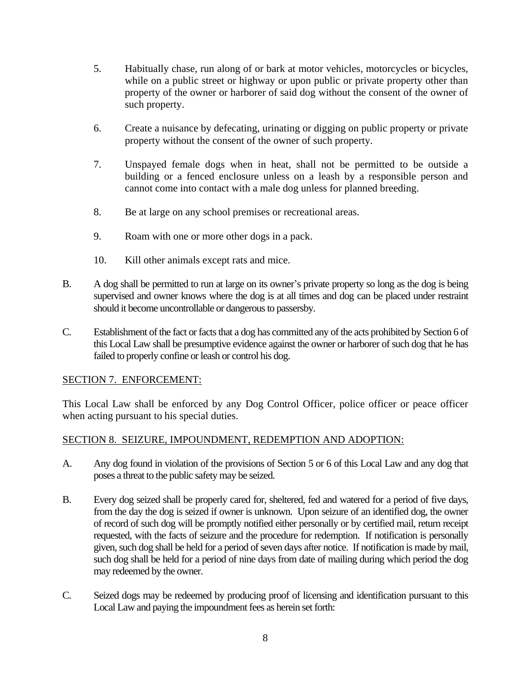- 5. Habitually chase, run along of or bark at motor vehicles, motorcycles or bicycles, while on a public street or highway or upon public or private property other than property of the owner or harborer of said dog without the consent of the owner of such property.
- 6. Create a nuisance by defecating, urinating or digging on public property or private property without the consent of the owner of such property.
- 7. Unspayed female dogs when in heat, shall not be permitted to be outside a building or a fenced enclosure unless on a leash by a responsible person and cannot come into contact with a male dog unless for planned breeding.
- 8. Be at large on any school premises or recreational areas.
- 9. Roam with one or more other dogs in a pack.
- 10. Kill other animals except rats and mice.
- B. A dog shall be permitted to run at large on its owner's private property so long as the dog is being supervised and owner knows where the dog is at all times and dog can be placed under restraint should it become uncontrollable or dangerous to passersby.
- C. Establishment of the fact or facts that a dog has committed any of the acts prohibited by Section 6 of this Local Law shall be presumptive evidence against the owner or harborer of such dog that he has failed to properly confine or leash or control his dog.

#### SECTION 7. ENFORCEMENT:

This Local Law shall be enforced by any Dog Control Officer, police officer or peace officer when acting pursuant to his special duties.

#### SECTION 8. SEIZURE, IMPOUNDMENT, REDEMPTION AND ADOPTION:

- A. Any dog found in violation of the provisions of Section 5 or 6 of this Local Law and any dog that poses a threat to the public safety may be seized.
- B. Every dog seized shall be properly cared for, sheltered, fed and watered for a period of five days, from the day the dog is seized if owner is unknown. Upon seizure of an identified dog, the owner of record of such dog will be promptly notified either personally or by certified mail, return receipt requested, with the facts of seizure and the procedure for redemption. If notification is personally given, such dog shall be held for a period of seven days after notice. If notification is made by mail, such dog shall be held for a period of nine days from date of mailing during which period the dog may redeemed by the owner.
- C. Seized dogs may be redeemed by producing proof of licensing and identification pursuant to this Local Law and paying the impoundment fees as herein set forth: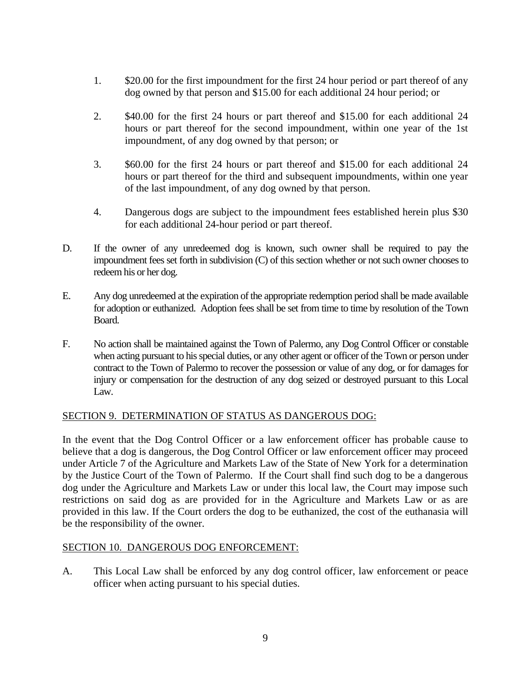- 1. \$20.00 for the first impoundment for the first 24 hour period or part thereof of any dog owned by that person and \$15.00 for each additional 24 hour period; or
- 2. \$40.00 for the first 24 hours or part thereof and \$15.00 for each additional 24 hours or part thereof for the second impoundment, within one year of the 1st impoundment, of any dog owned by that person; or
- 3. \$60.00 for the first 24 hours or part thereof and \$15.00 for each additional 24 hours or part thereof for the third and subsequent impoundments, within one year of the last impoundment, of any dog owned by that person.
- 4. Dangerous dogs are subject to the impoundment fees established herein plus \$30 for each additional 24-hour period or part thereof.
- D. If the owner of any unredeemed dog is known, such owner shall be required to pay the impoundment fees set forth in subdivision (C) of this section whether or not such owner chooses to redeem his or her dog.
- E. Any dog unredeemed at the expiration of the appropriate redemption period shall be made available for adoption or euthanized. Adoption fees shall be set from time to time by resolution of the Town Board.
- F. No action shall be maintained against the Town of Palermo, any Dog Control Officer or constable when acting pursuant to his special duties, or any other agent or officer of the Town or person under contract to the Town of Palermo to recover the possession or value of any dog, or for damages for injury or compensation for the destruction of any dog seized or destroyed pursuant to this Local Law.

# SECTION 9. DETERMINATION OF STATUS AS DANGEROUS DOG:

In the event that the Dog Control Officer or a law enforcement officer has probable cause to believe that a dog is dangerous, the Dog Control Officer or law enforcement officer may proceed under Article 7 of the Agriculture and Markets Law of the State of New York for a determination by the Justice Court of the Town of Palermo. If the Court shall find such dog to be a dangerous dog under the Agriculture and Markets Law or under this local law, the Court may impose such restrictions on said dog as are provided for in the Agriculture and Markets Law or as are provided in this law. If the Court orders the dog to be euthanized, the cost of the euthanasia will be the responsibility of the owner.

#### SECTION 10. DANGEROUS DOG ENFORCEMENT:

A. This Local Law shall be enforced by any dog control officer, law enforcement or peace officer when acting pursuant to his special duties.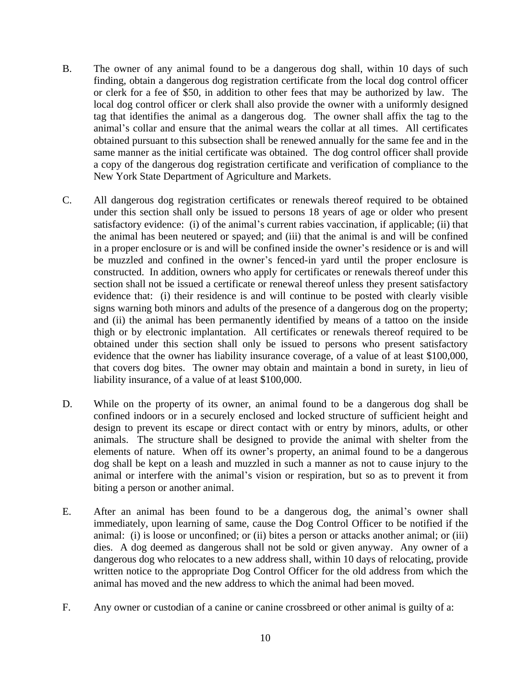- B. The owner of any animal found to be a dangerous dog shall, within 10 days of such finding, obtain a dangerous dog registration certificate from the local dog control officer or clerk for a fee of \$50, in addition to other fees that may be authorized by law. The local dog control officer or clerk shall also provide the owner with a uniformly designed tag that identifies the animal as a dangerous dog. The owner shall affix the tag to the animal's collar and ensure that the animal wears the collar at all times. All certificates obtained pursuant to this subsection shall be renewed annually for the same fee and in the same manner as the initial certificate was obtained. The dog control officer shall provide a copy of the dangerous dog registration certificate and verification of compliance to the New York State Department of Agriculture and Markets.
- C. All dangerous dog registration certificates or renewals thereof required to be obtained under this section shall only be issued to persons 18 years of age or older who present satisfactory evidence: (i) of the animal's current rabies vaccination, if applicable; (ii) that the animal has been neutered or spayed; and (iii) that the animal is and will be confined in a proper enclosure or is and will be confined inside the owner's residence or is and will be muzzled and confined in the owner's fenced-in yard until the proper enclosure is constructed. In addition, owners who apply for certificates or renewals thereof under this section shall not be issued a certificate or renewal thereof unless they present satisfactory evidence that: (i) their residence is and will continue to be posted with clearly visible signs warning both minors and adults of the presence of a dangerous dog on the property; and (ii) the animal has been permanently identified by means of a tattoo on the inside thigh or by electronic implantation. All certificates or renewals thereof required to be obtained under this section shall only be issued to persons who present satisfactory evidence that the owner has liability insurance coverage, of a value of at least \$100,000, that covers dog bites. The owner may obtain and maintain a bond in surety, in lieu of liability insurance, of a value of at least \$100,000.
- D. While on the property of its owner, an animal found to be a dangerous dog shall be confined indoors or in a securely enclosed and locked structure of sufficient height and design to prevent its escape or direct contact with or entry by minors, adults, or other animals. The structure shall be designed to provide the animal with shelter from the elements of nature. When off its owner's property, an animal found to be a dangerous dog shall be kept on a leash and muzzled in such a manner as not to cause injury to the animal or interfere with the animal's vision or respiration, but so as to prevent it from biting a person or another animal.
- E. After an animal has been found to be a dangerous dog, the animal's owner shall immediately, upon learning of same, cause the Dog Control Officer to be notified if the animal: (i) is loose or unconfined; or (ii) bites a person or attacks another animal; or (iii) dies. A dog deemed as dangerous shall not be sold or given anyway. Any owner of a dangerous dog who relocates to a new address shall, within 10 days of relocating, provide written notice to the appropriate Dog Control Officer for the old address from which the animal has moved and the new address to which the animal had been moved.
- F. Any owner or custodian of a canine or canine crossbreed or other animal is guilty of a: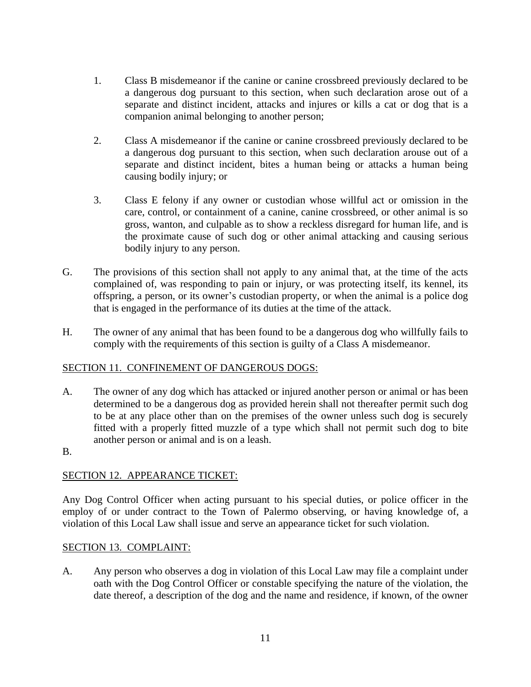- 1. Class B misdemeanor if the canine or canine crossbreed previously declared to be a dangerous dog pursuant to this section, when such declaration arose out of a separate and distinct incident, attacks and injures or kills a cat or dog that is a companion animal belonging to another person;
- 2. Class A misdemeanor if the canine or canine crossbreed previously declared to be a dangerous dog pursuant to this section, when such declaration arouse out of a separate and distinct incident, bites a human being or attacks a human being causing bodily injury; or
- 3. Class E felony if any owner or custodian whose willful act or omission in the care, control, or containment of a canine, canine crossbreed, or other animal is so gross, wanton, and culpable as to show a reckless disregard for human life, and is the proximate cause of such dog or other animal attacking and causing serious bodily injury to any person.
- G. The provisions of this section shall not apply to any animal that, at the time of the acts complained of, was responding to pain or injury, or was protecting itself, its kennel, its offspring, a person, or its owner's custodian property, or when the animal is a police dog that is engaged in the performance of its duties at the time of the attack.
- H. The owner of any animal that has been found to be a dangerous dog who willfully fails to comply with the requirements of this section is guilty of a Class A misdemeanor.

# SECTION 11. CONFINEMENT OF DANGEROUS DOGS:

- A. The owner of any dog which has attacked or injured another person or animal or has been determined to be a dangerous dog as provided herein shall not thereafter permit such dog to be at any place other than on the premises of the owner unless such dog is securely fitted with a properly fitted muzzle of a type which shall not permit such dog to bite another person or animal and is on a leash.
- B.

# SECTION 12. APPEARANCE TICKET:

Any Dog Control Officer when acting pursuant to his special duties, or police officer in the employ of or under contract to the Town of Palermo observing, or having knowledge of, a violation of this Local Law shall issue and serve an appearance ticket for such violation.

#### SECTION 13. COMPLAINT:

A. Any person who observes a dog in violation of this Local Law may file a complaint under oath with the Dog Control Officer or constable specifying the nature of the violation, the date thereof, a description of the dog and the name and residence, if known, of the owner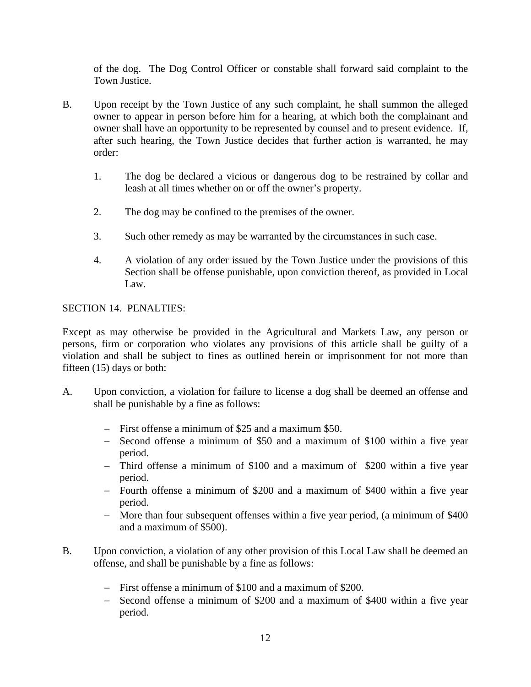of the dog. The Dog Control Officer or constable shall forward said complaint to the Town Justice.

- B. Upon receipt by the Town Justice of any such complaint, he shall summon the alleged owner to appear in person before him for a hearing, at which both the complainant and owner shall have an opportunity to be represented by counsel and to present evidence. If, after such hearing, the Town Justice decides that further action is warranted, he may order:
	- 1. The dog be declared a vicious or dangerous dog to be restrained by collar and leash at all times whether on or off the owner's property.
	- 2. The dog may be confined to the premises of the owner.
	- 3. Such other remedy as may be warranted by the circumstances in such case.
	- 4. A violation of any order issued by the Town Justice under the provisions of this Section shall be offense punishable, upon conviction thereof, as provided in Local Law.

#### SECTION 14. PENALTIES:

Except as may otherwise be provided in the Agricultural and Markets Law, any person or persons, firm or corporation who violates any provisions of this article shall be guilty of a violation and shall be subject to fines as outlined herein or imprisonment for not more than fifteen (15) days or both:

- A. Upon conviction, a violation for failure to license a dog shall be deemed an offense and shall be punishable by a fine as follows:
	- First offense a minimum of \$25 and a maximum \$50.
	- Second offense a minimum of \$50 and a maximum of \$100 within a five year period.
	- Third offense a minimum of \$100 and a maximum of \$200 within a five year period.
	- Fourth offense a minimum of \$200 and a maximum of \$400 within a five year period.
	- More than four subsequent offenses within a five year period, (a minimum of \$400 and a maximum of \$500).
- B. Upon conviction, a violation of any other provision of this Local Law shall be deemed an offense, and shall be punishable by a fine as follows:
	- First offense a minimum of \$100 and a maximum of \$200.
	- Second offense a minimum of \$200 and a maximum of \$400 within a five year period.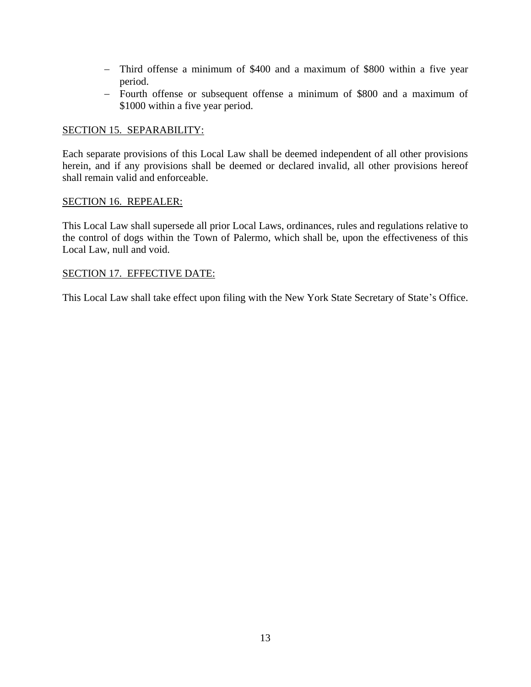- Third offense a minimum of \$400 and a maximum of \$800 within a five year period.
- Fourth offense or subsequent offense a minimum of \$800 and a maximum of \$1000 within a five year period.

## SECTION 15. SEPARABILITY:

Each separate provisions of this Local Law shall be deemed independent of all other provisions herein, and if any provisions shall be deemed or declared invalid, all other provisions hereof shall remain valid and enforceable.

#### SECTION 16. REPEALER:

This Local Law shall supersede all prior Local Laws, ordinances, rules and regulations relative to the control of dogs within the Town of Palermo, which shall be, upon the effectiveness of this Local Law, null and void.

#### SECTION 17. EFFECTIVE DATE:

This Local Law shall take effect upon filing with the New York State Secretary of State's Office.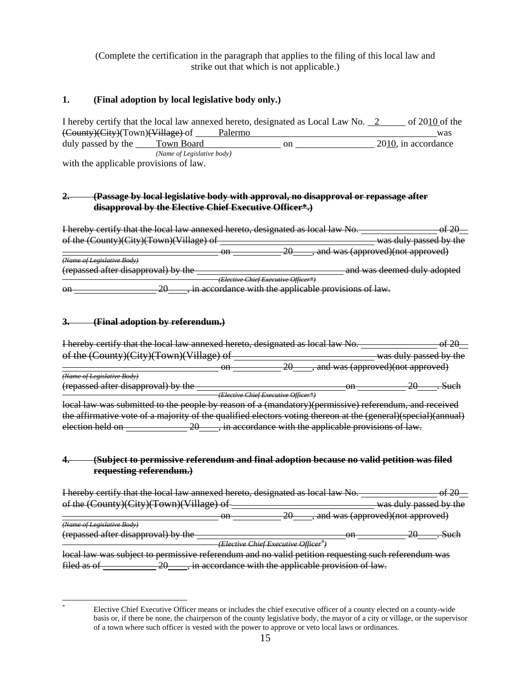(Complete the certification in the paragraph that applies to the filing of this local law and strike out that which is not applicable.)

#### **1. (Final adoption by local legislative body only.)**

|                                        |                            | I hereby certify that the local law annexed hereto, designated as Local Law No. 2 | of $2010$ of the    |
|----------------------------------------|----------------------------|-----------------------------------------------------------------------------------|---------------------|
| (County)(City)(Town)(Village) of       |                            | Palermo                                                                           | was                 |
| duly passed by the                     | Town Board                 | on                                                                                | 2010, in accordance |
|                                        | (Name of Legislative body) |                                                                                   |                     |
| with the applicable provisions of law. |                            |                                                                                   |                     |

#### **2. (Passage by local legislative body with approval, no disapproval or repassage after disapproval by the Elective Chief Executive Officer\*.)**

| I hereby certify that the local law annexed hereto, designated as local law No. | 7ይ ኃ0<br>$\sigma$ r $\omega$                         |
|---------------------------------------------------------------------------------|------------------------------------------------------|
| of the (County)(City)(Town)(Village) of                                         | was duly passed by the                               |
| $\alpha$ n<br>vπ                                                                | -and was (approved)(not approved)<br>20              |
| (Name of Legislative Body)                                                      |                                                      |
| (repassed after disapproval) by the                                             | and was deemed duly adopted                          |
| (Elective Chief Executive Officer*)                                             |                                                      |
| Θn<br>∠ν                                                                        | in accordance with the applicable provisions of law. |

#### **3. (Final adoption by referendum.)**

 $\overline{a}$ 

| I hereby certify that the local law annexed hereto, designated as local law No. |                                     | $\sigma$ r $\omega$                      |
|---------------------------------------------------------------------------------|-------------------------------------|------------------------------------------|
| of the (County)(City)(Town)(Village) of                                         |                                     | was duly passed by the                   |
| ∩n<br>v.                                                                        | ∠ν                                  | and was (approved)(not approved)         |
| (Name of Legislative Body)                                                      |                                     |                                          |
| (repassed after disapproval) by the                                             | nт<br>m                             | Տոշե<br>wuvn<br>$\overline{\phantom{a}}$ |
|                                                                                 | (Flacting Chief Executive Officers) |                                          |

local law was submitted to the people by reason of a (mandatory)(permissive) referendum, and received the affirmative vote of a majority of the qualified electors voting thereon at the (general)(special)(annual) election held on  $\frac{9}{20}$  , in accordance with the applicable provisions of law.

#### **4. (Subject to permissive referendum and final adoption because no valid petition was filed requesting referendum.)**

| I hereby certify that the local law annexed hereto, designated as local law No.                     |                  |                                   |
|-----------------------------------------------------------------------------------------------------|------------------|-----------------------------------|
| of the (County)(City)(Town)(Village) of                                                             |                  | was duly passed by the            |
| Λn<br>UН                                                                                            | zн               | and was (approved) (not approved) |
| (Name of Legislative Body)                                                                          |                  |                                   |
| (repassed after disapproval) by the                                                                 | $\alpha$ n<br>vπ | Տոշե<br>ΔЧ.                       |
| (Elective Chief Executive Officer <sup>*</sup> )                                                    |                  |                                   |
| local law was subject to permissive referendum and no valid petition requesting such referendum was |                  |                                   |

filed as of 20 , in accordance with the applicable provision of law.

<sup>\*</sup> Elective Chief Executive Officer means or includes the chief executive officer of a county elected on a county-wide basis or, if there be none, the chairperson of the county legislative body, the mayor of a city or village, or the supervisor of a town where such officer is vested with the power to approve or veto local laws or ordinances.